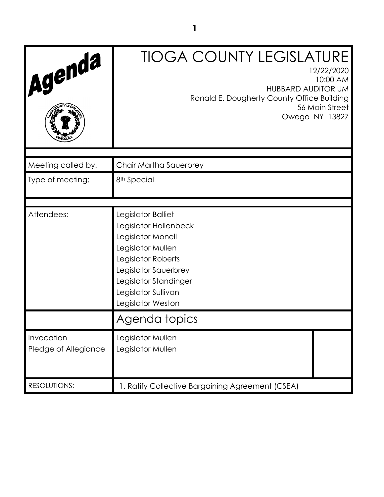| Agenda                             | <b>TIOGA COUNTY LEGISLATURE</b><br>12/22/2020<br>10:00 AM<br><b>HUBBARD AUDITORIUM</b><br>Ronald E. Dougherty County Office Building<br>56 Main Street<br>Owego NY 13827                                 |
|------------------------------------|----------------------------------------------------------------------------------------------------------------------------------------------------------------------------------------------------------|
| Meeting called by:                 | Chair Martha Sauerbrey                                                                                                                                                                                   |
| Type of meeting:                   | 8 <sup>th</sup> Special                                                                                                                                                                                  |
| Attendees:                         | Legislator Balliet<br>Legislator Hollenbeck<br>Legislator Monell<br>Legislator Mullen<br>Legislator Roberts<br>Legislator Sauerbrey<br>Legislator Standinger<br>Legislator Sullivan<br>Legislator Weston |
|                                    | Agenda topics                                                                                                                                                                                            |
| Invocation<br>Pledge of Allegiance | Legislator Mullen<br>Legislator Mullen                                                                                                                                                                   |
| <b>RESOLUTIONS:</b>                | 1. Ratify Collective Bargaining Agreement (CSEA)                                                                                                                                                         |